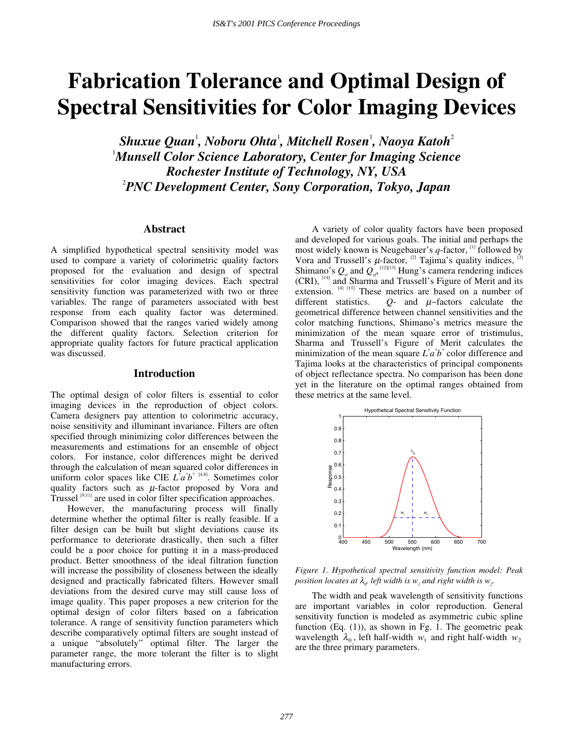# **Fabrication Tolerance and Optimal Design of Spectral Sensitivities for Color Imaging Devices**

 $\boldsymbol{Shuxue\ Quan}$ <sup>1</sup>, Noboru Ohta<sup>1</sup>, Mitchell Rosen<sup>1</sup>, Naoya Katoh<sup>2</sup> 1 *Munsell Color Science Laboratory, Center for Imaging Science Rochester Institute of Technology, NY, USA* 2 *PNC Development Center, Sony Corporation, Tokyo, Japan*

## **Abstract**

A simplified hypothetical spectral sensitivity model was used to compare a variety of colorimetric quality factors proposed for the evaluation and design of spectral sensitivities for color imaging devices. Each spectral sensitivity function was parameterized with two or three variables. The range of parameters associated with best response from each quality factor was determined. Comparison showed that the ranges varied widely among the different quality factors. Selection criterion for appropriate quality factors for future practical application was discussed.

## **Introduction**

The optimal design of color filters is essential to color imaging devices in the reproduction of object colors. Camera designers pay attention to colorimetric accuracy, noise sensitivity and illuminant invariance. Filters are often specified through minimizing color differences between the measurements and estimations for an ensemble of object colors. For instance, color differences might be derived through the calculation of mean squared color differences in uniform color spaces like CIE  $L^* a^* b^{*}$ <sup>[4,8]</sup>. Sometimes color quality factors such as  $\mu$ -factor proposed by Vora and Trussel<sup>[9,11]</sup> are used in color filter specification approaches.

However, the manufacturing process will finally determine whether the optimal filter is really feasible. If a filter design can be built but slight deviations cause its performance to deteriorate drastically, then such a filter could be a poor choice for putting it in a mass-produced product. Better smoothness of the ideal filtration function will increase the possibility of closeness between the ideally designed and practically fabricated filters. However small deviations from the desired curve may still cause loss of image quality. This paper proposes a new criterion for the optimal design of color filters based on a fabrication tolerance. A range of sensitivity function parameters which describe comparatively optimal filters are sought instead of a unique "absolutely" optimal filter. The larger the parameter range, the more tolerant the filter is to slight manufacturing errors.

A variety of color quality factors have been proposed and developed for various goals. The initial and perhaps the most widely known is Neugebauer's  $q$ -factor,  $\left[1\right]$  followed by Vora and Trussell's  $\mu$ -factor, <sup>[2]</sup> Tajima's quality indices, <sup>[3]</sup> Shimano's  $Q_{st}$  and  $Q_{st}$ <sup>[12][13]</sup> Hung's camera rendering indices (CRI), <sup>[14]</sup> and Sharma and Trussell's Figure of Merit and its extension. <sup>[4] [11]</sup> These metrics are based on a number of different statistics. *Q*- and µ−factors calculate the geometrical difference between channel sensitivities and the color matching functions, Shimano's metrics measure the minimization of the mean square error of tristimulus, Sharma and Trussell's Figure of Merit calculates the minimization of the mean square  $L^* a^* b^*$  color difference and Tajima looks at the characteristics of principal components of object reflectance spectra. No comparison has been done yet in the literature on the optimal ranges obtained from these metrics at the same level.



*Figure 1. Hypothetical spectral sensitivity function model: Peak* position locates at  $\lambda_{\varphi}$  left width is  $w_{{\scriptscriptstyle T}}$  and right width is  $w_{{\scriptscriptstyle T}}$ .

The width and peak wavelength of sensitivity functions are important variables in color reproduction. General sensitivity function is modeled as asymmetric cubic spline function (Eq. (1)), as shown in Fg. 1. The geometric peak wavelength  $\lambda_0$ , left half-width  $w_1$  and right half-width  $w_2$ are the three primary parameters.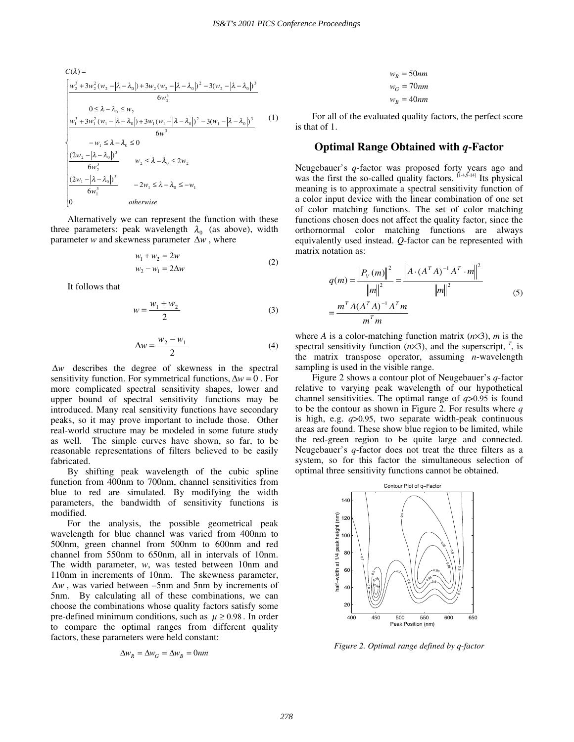$$
C(\lambda) = \frac{}{\left\{\n\begin{aligned}\n\frac{w_2^3 + 3w_2^2 (w_2 - |\lambda - \lambda_0|) + 3w_2 (w_2 - |\lambda - \lambda_0|)^2 - 3(w_2 - |\lambda - \lambda_0|)^3}{6w_2^3} \\
0 &\le \lambda - \lambda_0 \le w_2\n\end{aligned}\n\right\}}\n\frac{6w_2^3}{\left\{\n\begin{aligned}\n\frac{w_1^3 + 3w_1^2 (w_1 - |\lambda - \lambda_0|) + 3w_1 (w_1 - |\lambda - \lambda_0|)^2 - 3(w_1 - |\lambda - \lambda_0|)^3}{6w_3^3} \\
&\quad -w_1 \le \lambda - \lambda_0 \le 0\n\end{aligned}\n\right\}}\n\tag{1}
$$
\n
$$
\frac{(2w_2 - |\lambda - \lambda_0|)^3}{6w_2^3} \quad w_2 \le \lambda - \lambda_0 \le 2w_2
$$
\n
$$
\frac{(2w_1 - |\lambda - \lambda_0|)^3}{6w_1^3} \quad -2w_1 \le \lambda - \lambda_0 \le -w_1
$$
\n
$$
otherwise
$$

Alternatively we can represent the function with these three parameters: peak wavelength  $\lambda_0$  (as above), width parameter *w* and skewness parameter ∆*w* , where

$$
w_1 + w_2 = 2w
$$
  
\n
$$
w_2 - w_1 = 2\Delta w
$$
 (2)

It follows that

$$
w = \frac{w_1 + w_2}{2} \tag{3}
$$

$$
\Delta w = \frac{w_2 - w_1}{2} \tag{4}
$$

∆*w* describes the degree of skewness in the spectral sensitivity function. For symmetrical functions, ∆*w* = 0 . For more complicated spectral sensitivity shapes, lower and upper bound of spectral sensitivity functions may be introduced. Many real sensitivity functions have secondary peaks, so it may prove important to include those. Other real-world structure may be modeled in some future study as well. The simple curves have shown, so far, to be reasonable representations of filters believed to be easily fabricated.

By shifting peak wavelength of the cubic spline function from 400nm to 700nm, channel sensitivities from blue to red are simulated. By modifying the width parameters, the bandwidth of sensitivity functions is modified.

For the analysis, the possible geometrical peak wavelength for blue channel was varied from 400nm to 500nm, green channel from 500nm to 600nm and red channel from 550nm to 650nm, all in intervals of 10nm. The width parameter, *w*, was tested between 10nm and 110nm in increments of 10nm. The skewness parameter, ∆*w* , was varied between –5nm and 5nm by increments of 5nm. By calculating all of these combinations, we can choose the combinations whose quality factors satisfy some pre-defined minimum conditions, such as  $\mu \geq 0.98$ . In order to compare the optimal ranges from different quality factors, these parameters were held constant:

$$
\Delta w_R = \Delta w_G = \Delta w_B = 0nm
$$

$$
w_R = 50nm
$$
  

$$
w_G = 70nm
$$
  

$$
w_B = 40nm
$$

For all of the evaluated quality factors, the perfect score is that of 1.

## **Optimal Range Obtained with** *q***-Factor**

Neugebauer's *q*-factor was proposed forty years ago and was the first the so-called quality factors.  $[14,9.14]$  Its physical meaning is to approximate a spectral sensitivity function of a color input device with the linear combination of one set of color matching functions. The set of color matching functions chosen does not affect the quality factor, since the orthornormal color matching functions are always equivalently used instead. *Q*-factor can be represented with matrix notation as:

$$
q(m) = \frac{\|P_V(m)\|^2}{\|m\|^2} = \frac{\left\|A \cdot (A^T A)^{-1} A^T \cdot m\right\|^2}{\|m\|^2}
$$
  
= 
$$
\frac{m^T A (A^T A)^{-1} A^T m}{m^T m}
$$
 (5)

where *A* is a color-matching function matrix  $(n \times 3)$ , *m* is the spectral sensitivity function  $(n \times 3)$ , and the superscript, <sup>*T*</sup>, is the matrix transpose operator, assuming *n*-wavelength sampling is used in the visible range.

Figure 2 shows a contour plot of Neugebauer's *q*-factor relative to varying peak wavelength of our hypothetical channel sensitivities. The optimal range of *q*>0.95 is found to be the contour as shown in Figure 2. For results where *q* is high, e.g. *q*>0.95, two separate width-peak continuous areas are found. These show blue region to be limited, while the red-green region to be quite large and connected. Neugebauer's *q*-factor does not treat the three filters as a system, so for this factor the simultaneous selection of optimal three sensitivity functions cannot be obtained.



*Figure 2. Optimal range defined by q-factor*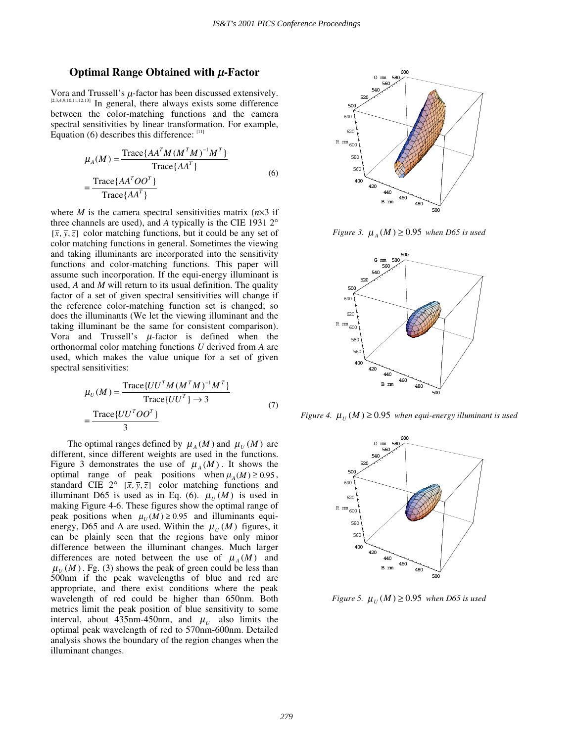# **Optimal Range Obtained with** µ**-Factor**

Vora and Trussell's  $\mu$ -factor has been discussed extensively.<br>[2,3,4,9,10,11,12,13] In general, there always exists some difference between the color-matching functions and the camera spectral sensitivities by linear transformation. For example, Equation (6) describes this difference:  $[11]$ 

$$
\mu_A(M) = \frac{\text{Trace}\{AA^T M (M^T M)^{-1} M^T\}}{\text{Trace}\{AA^T\}}
$$
  
= 
$$
\frac{\text{Trace}\{AA^T O O^T\}}{\text{Trace}\{AA^T\}}
$$
 (6)

where *M* is the camera spectral sensitivities matrix  $(n \times 3$  if three channels are used), and *A* typically is the CIE 1931 2°  $[\overline{x}, \overline{y}, \overline{z}]$  color matching functions, but it could be any set of color matching functions in general. Sometimes the viewing and taking illuminants are incorporated into the sensitivity functions and color-matching functions. This paper will assume such incorporation. If the equi-energy illuminant is used, *A* and *M* will return to its usual definition. The quality factor of a set of given spectral sensitivities will change if the reference color-matching function set is changed; so does the illuminants (We let the viewing illuminant and the taking illuminant be the same for consistent comparison). Vora and Trussell's  $\mu$ -factor is defined when the orthonormal color matching functions *U* derived from *A* are used, which makes the value unique for a set of given spectral sensitivities:

$$
\mu_U(M) = \frac{\text{Trace}\{UU^T M (M^T M)^{-1} M^T\}}{\text{Trace}\{UU^T\} \to 3}
$$
\n
$$
= \frac{\text{Trace}\{UU^T O O^T\}}{3}
$$
\n(7)

The optimal ranges defined by  $\mu_A(M)$  and  $\mu_U(M)$  are different, since different weights are used in the functions. Figure 3 demonstrates the use of  $\mu_A(M)$ . It shows the optimal range of peak positions when  $\mu_A(M) \geq 0.95$ , standard CIE  $2^{\circ}$  [ $\overline{x}$ ,  $\overline{y}$ ,  $\overline{z}$ ] color matching functions and illuminant D65 is used as in Eq. (6).  $\mu_U(M)$  is used in making Figure 4-6. These figures show the optimal range of peak positions when  $\mu_U(M) \geq 0.95$  and illuminants equienergy, D65 and A are used. Within the  $\mu_{U}(M)$  figures, it can be plainly seen that the regions have only minor difference between the illuminant changes. Much larger differences are noted between the use of  $\mu_A(M)$  and  $\mu_{U}(M)$ . Fg. (3) shows the peak of green could be less than 500nm if the peak wavelengths of blue and red are appropriate, and there exist conditions where the peak wavelength of red could be higher than 650nm. Both metrics limit the peak position of blue sensitivity to some interval, about 435nm-450nm, and  $\mu_{U}$  also limits the optimal peak wavelength of red to 570nm-600nm. Detailed analysis shows the boundary of the region changes when the illuminant changes.



*Figure 3.*  $\mu_A(M) \geq 0.95$  when D65 is used



*Figure 4.*  $\mu_U(M) \geq 0.95$  *when equi-energy illuminant is used* 



*Figure 5.*  $\mu_{U}(M) \geq 0.95$  when D65 is used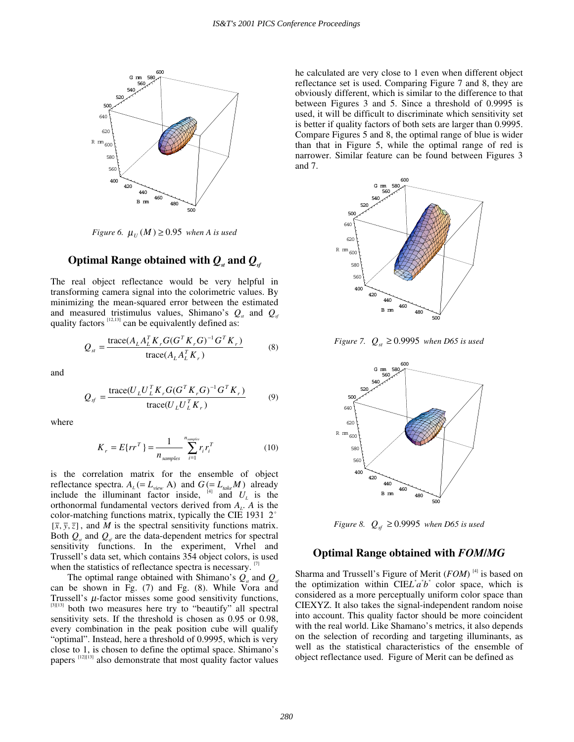

*Figure 6.*  $\mu_{U}(M) \geq 0.95$  when A is used

# Optimal Range obtained with  $Q_{st}$  and  $Q_{sf}$

The real object reflectance would be very helpful in transforming camera signal into the colorimetric values. By minimizing the mean-squared error between the estimated and measured tristimulus values, Shimano's  $Q_{st}$  and  $Q_{st}$ quality factors  $[12,13]$  can be equivalently defined as:

$$
Q_{st} = \frac{\text{trace}(A_L A_L^T K_r G (G^T K_r G)^{-1} G^T K_r)}{\text{trace}(A_L A_L^T K_r)}
$$
(8)

and

$$
Q_{sf} = \frac{\text{trace}(U_L U_L^T K_r G (G^T K_r G)^{-1} G^T K_r)}{\text{trace}(U_L U_L^T K_r)}
$$
(9)

where

$$
K_r = E\{rr^T\} = \frac{1}{n_{samples}} \sum_{i=1}^{n_{samples}} r_i r_i^T
$$
 (10)

is the correlation matrix for the ensemble of object reflectance spectra.  $A_L (= L_{view} \text{ A})$  and  $G (= L_{take} M)$  already include the illuminant factor inside,  $[4]$  and  $U_L$  is the orthonormal fundamental vectors derived from  $A_L$ . *A* is the color-matching functions matrix, typically the CIE 1931  $2^{\circ}$  $[\bar{x}, \bar{y}, \bar{z}]$ , and *M* is the spectral sensitivity functions matrix. Both  $Q_{st}$  and  $Q_{st}$  are the data-dependent metrics for spectral sensitivity functions. In the experiment, Vrhel and Trussell's data set, which contains 354 object colors, is used when the statistics of reflectance spectra is necessary.  $[7]$ 

The optimal range obtained with Shimano's  $Q_{\alpha}$  and  $Q_{\alpha}$ can be shown in Fg. (7) and Fg. (8). While Vora and Trussell's  $\mu$ -factor misses some good sensitivity functions, [3][13] both two measures here try to "beautify" all spectral sensitivity sets. If the threshold is chosen as 0.95 or 0.98, every combination in the peak position cube will qualify "optimal". Instead, here a threshold of 0.9995, which is very close to 1, is chosen to define the optimal space. Shimano's papers  $[12][13]$  also demonstrate that most quality factor values he calculated are very close to 1 even when different object reflectance set is used. Comparing Figure 7 and 8, they are obviously different, which is similar to the difference to that between Figures 3 and 5. Since a threshold of 0.9995 is used, it will be difficult to discriminate which sensitivity set is better if quality factors of both sets are larger than 0.9995. Compare Figures 5 and 8, the optimal range of blue is wider than that in Figure 5, while the optimal range of red is narrower. Similar feature can be found between Figures 3 and 7.



*Figure 7.*  $Q_{st} \ge 0.9995$  *when D65 is used* 



*Figure 8.*  $Q_{sf} \ge 0.9995$  *when D65 is used* 

#### **Optimal Range obtained with** *FOM***/***MG*

Sharma and Trussell's Figure of Merit (*FOM*)<sup>[4]</sup> is based on the optimization within  $\text{CIEL}^* a^* b^*$  color space, which is considered as a more perceptually uniform color space than CIEXYZ. It also takes the signal-independent random noise into account. This quality factor should be more coincident with the real world. Like Shamano's metrics, it also depends on the selection of recording and targeting illuminants, as well as the statistical characteristics of the ensemble of object reflectance used. Figure of Merit can be defined as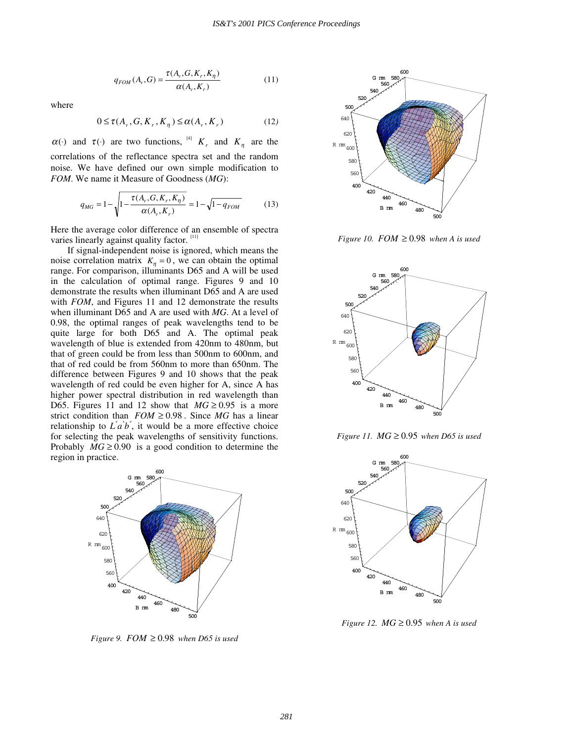$$
q_{FOM}(A_v, G) = \frac{\tau(A_v, G, K_v, K_\eta)}{\alpha(A_v, K_v)}
$$
(11)

where

$$
0 \le \tau(A_v, G, K_v, K_\eta) \le \alpha(A_v, K_v) \tag{12}
$$

 $\alpha(\cdot)$  and  $\tau(\cdot)$  are two functions, <sup>[4]</sup>  $K_r$  and  $K_n$  are the correlations of the reflectance spectra set and the random noise. We have defined our own simple modification to *FOM*. We name it Measure of Goodness (*MG*):

$$
q_{MG} = 1 - \sqrt{1 - \frac{\tau(A_v, G, K_v, K_\eta)}{\alpha(A_v, K_v)}} = 1 - \sqrt{1 - q_{FOM}}
$$
(13)

Here the average color difference of an ensemble of spectra varies linearly against quality factor. [11]

If signal-independent noise is ignored, which means the noise correlation matrix  $K_n = 0$ , we can obtain the optimal range. For comparison, illuminants D65 and A will be used in the calculation of optimal range. Figures 9 and 10 demonstrate the results when illuminant D65 and A are used with *FOM*, and Figures 11 and 12 demonstrate the results when illuminant D65 and A are used with *MG*. At a level of 0.98, the optimal ranges of peak wavelengths tend to be quite large for both D65 and A. The optimal peak wavelength of blue is extended from 420nm to 480nm, but that of green could be from less than 500nm to 600nm, and that of red could be from 560nm to more than 650nm. The difference between Figures 9 and 10 shows that the peak wavelength of red could be even higher for A, since A has higher power spectral distribution in red wavelength than D65. Figures 11 and 12 show that  $MG \ge 0.95$  is a more strict condition than  $FOM \ge 0.98$ . Since MG has a linear relationship to  $L^* a^* b^*$ , it would be a more effective choice for selecting the peak wavelengths of sensitivity functions. Probably  $MG \ge 0.90$  is a good condition to determine the region in practice.



*Figure 9.*  $FOM \geq 0.98$  when D65 is used



*Figure 10.*  $FOM \geq 0.98$  when A is used



*Figure 11.*  $MG \geq 0.95$  when D65 is used



*Figure 12.*  $MG \geq 0.95$  when A is used